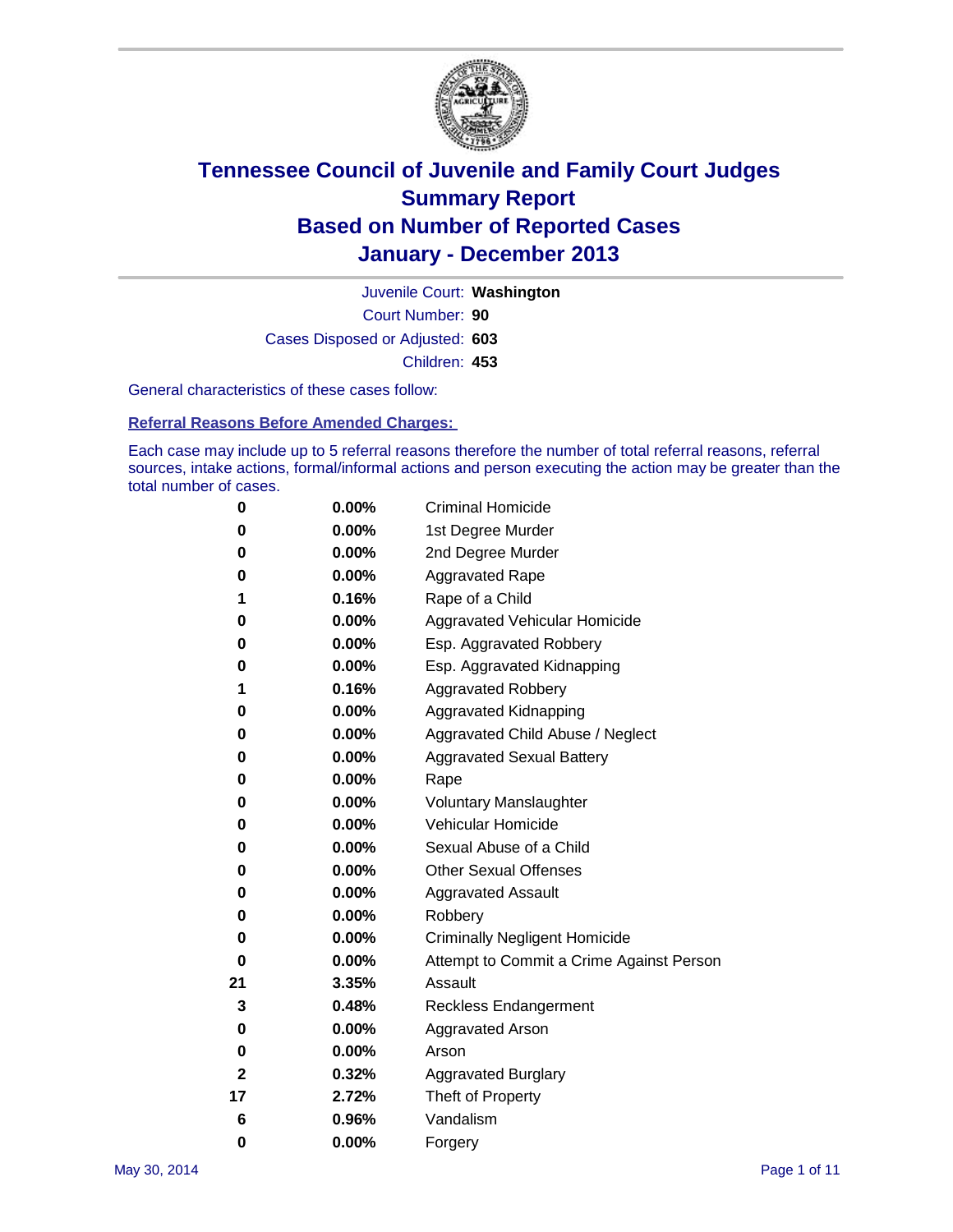

Court Number: **90** Juvenile Court: **Washington** Cases Disposed or Adjusted: **603** Children: **453**

General characteristics of these cases follow:

**Referral Reasons Before Amended Charges:** 

Each case may include up to 5 referral reasons therefore the number of total referral reasons, referral sources, intake actions, formal/informal actions and person executing the action may be greater than the total number of cases.

| 0            | $0.00\%$ | <b>Criminal Homicide</b>                 |
|--------------|----------|------------------------------------------|
| 0            | 0.00%    | 1st Degree Murder                        |
| 0            | 0.00%    | 2nd Degree Murder                        |
| 0            | $0.00\%$ | <b>Aggravated Rape</b>                   |
| 1            | 0.16%    | Rape of a Child                          |
| 0            | 0.00%    | <b>Aggravated Vehicular Homicide</b>     |
| 0            | $0.00\%$ | Esp. Aggravated Robbery                  |
| 0            | 0.00%    | Esp. Aggravated Kidnapping               |
| 1            | 0.16%    | <b>Aggravated Robbery</b>                |
| 0            | $0.00\%$ | Aggravated Kidnapping                    |
| 0            | 0.00%    | Aggravated Child Abuse / Neglect         |
| 0            | 0.00%    | <b>Aggravated Sexual Battery</b>         |
| 0            | $0.00\%$ | Rape                                     |
| 0            | 0.00%    | <b>Voluntary Manslaughter</b>            |
| 0            | 0.00%    | Vehicular Homicide                       |
| 0            | $0.00\%$ | Sexual Abuse of a Child                  |
| 0            | 0.00%    | <b>Other Sexual Offenses</b>             |
| 0            | 0.00%    | <b>Aggravated Assault</b>                |
| 0            | 0.00%    | Robbery                                  |
| 0            | 0.00%    | <b>Criminally Negligent Homicide</b>     |
| 0            | 0.00%    | Attempt to Commit a Crime Against Person |
| 21           | 3.35%    | Assault                                  |
| 3            | 0.48%    | <b>Reckless Endangerment</b>             |
| 0            | 0.00%    | <b>Aggravated Arson</b>                  |
| 0            | 0.00%    | Arson                                    |
| $\mathbf{2}$ | 0.32%    | <b>Aggravated Burglary</b>               |
| 17           | 2.72%    | Theft of Property                        |
| 6            | 0.96%    | Vandalism                                |
| 0            | 0.00%    | Forgery                                  |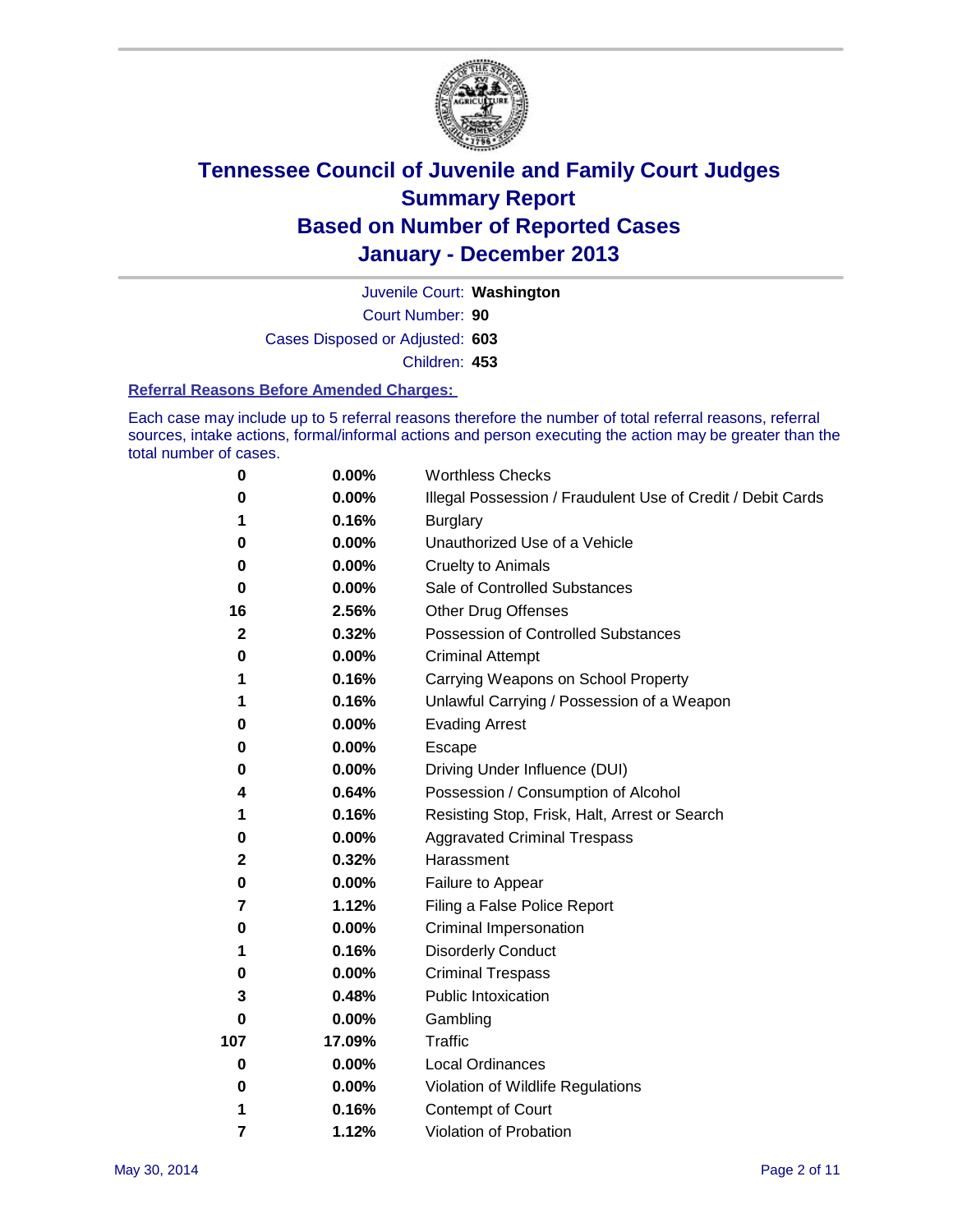

Court Number: **90** Juvenile Court: **Washington** Cases Disposed or Adjusted: **603** Children: **453**

#### **Referral Reasons Before Amended Charges:**

Each case may include up to 5 referral reasons therefore the number of total referral reasons, referral sources, intake actions, formal/informal actions and person executing the action may be greater than the total number of cases.

| 0            | 0.00%    | <b>Worthless Checks</b>                                     |
|--------------|----------|-------------------------------------------------------------|
| 0            | 0.00%    | Illegal Possession / Fraudulent Use of Credit / Debit Cards |
|              | 0.16%    | <b>Burglary</b>                                             |
| 0            | 0.00%    | Unauthorized Use of a Vehicle                               |
| 0            | 0.00%    | <b>Cruelty to Animals</b>                                   |
| 0            | 0.00%    | Sale of Controlled Substances                               |
| 16           | 2.56%    | <b>Other Drug Offenses</b>                                  |
| $\mathbf{2}$ | 0.32%    | <b>Possession of Controlled Substances</b>                  |
| 0            | 0.00%    | <b>Criminal Attempt</b>                                     |
| 1            | 0.16%    | Carrying Weapons on School Property                         |
| 1            | 0.16%    | Unlawful Carrying / Possession of a Weapon                  |
| 0            | 0.00%    | <b>Evading Arrest</b>                                       |
| 0            | 0.00%    | Escape                                                      |
| 0            | 0.00%    | Driving Under Influence (DUI)                               |
| 4            | 0.64%    | Possession / Consumption of Alcohol                         |
| 1            | 0.16%    | Resisting Stop, Frisk, Halt, Arrest or Search               |
| 0            | 0.00%    | <b>Aggravated Criminal Trespass</b>                         |
| $\mathbf 2$  | 0.32%    | Harassment                                                  |
| 0            | 0.00%    | Failure to Appear                                           |
| 7            | 1.12%    | Filing a False Police Report                                |
| 0            | 0.00%    | Criminal Impersonation                                      |
| 1            | 0.16%    | <b>Disorderly Conduct</b>                                   |
| 0            | 0.00%    | <b>Criminal Trespass</b>                                    |
| 3            | 0.48%    | <b>Public Intoxication</b>                                  |
| 0            | 0.00%    | Gambling                                                    |
| 107          | 17.09%   | Traffic                                                     |
| 0            | $0.00\%$ | <b>Local Ordinances</b>                                     |
| 0            | 0.00%    | Violation of Wildlife Regulations                           |
| 1            | 0.16%    | Contempt of Court                                           |
| 7            | 1.12%    | Violation of Probation                                      |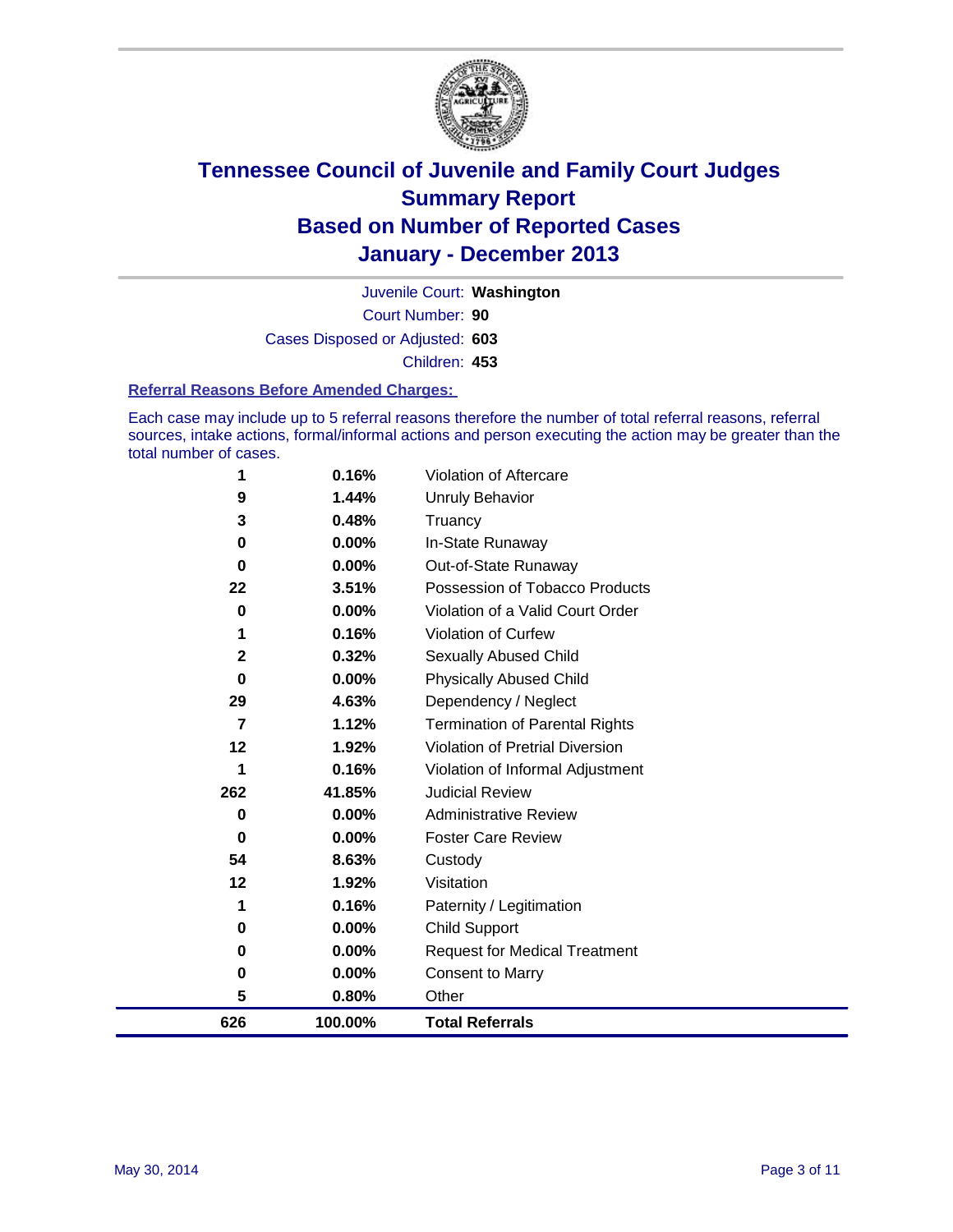

Court Number: **90** Juvenile Court: **Washington** Cases Disposed or Adjusted: **603** Children: **453**

#### **Referral Reasons Before Amended Charges:**

Each case may include up to 5 referral reasons therefore the number of total referral reasons, referral sources, intake actions, formal/informal actions and person executing the action may be greater than the total number of cases.

| 626 | 100.00%  | <b>Total Referrals</b>                 |
|-----|----------|----------------------------------------|
| 5   | 0.80%    | Other                                  |
| 0   | 0.00%    | <b>Consent to Marry</b>                |
| 0   | 0.00%    | <b>Request for Medical Treatment</b>   |
| 0   | 0.00%    | Child Support                          |
| 1   | 0.16%    | Paternity / Legitimation               |
| 12  | 1.92%    | Visitation                             |
| 54  | 8.63%    | Custody                                |
| 0   | $0.00\%$ | <b>Foster Care Review</b>              |
| 0   | $0.00\%$ | <b>Administrative Review</b>           |
| 262 | 41.85%   | <b>Judicial Review</b>                 |
| 1   | 0.16%    | Violation of Informal Adjustment       |
| 12  | 1.92%    | <b>Violation of Pretrial Diversion</b> |
| 7   | 1.12%    | <b>Termination of Parental Rights</b>  |
| 29  | 4.63%    | Dependency / Neglect                   |
| 0   | 0.00%    | <b>Physically Abused Child</b>         |
| 2   | 0.32%    | <b>Sexually Abused Child</b>           |
| 1   | 0.16%    | <b>Violation of Curfew</b>             |
| 0   | 0.00%    | Violation of a Valid Court Order       |
| 22  | 3.51%    | Possession of Tobacco Products         |
| 0   | $0.00\%$ | Out-of-State Runaway                   |
| 0   | $0.00\%$ | In-State Runaway                       |
| 3   | 0.48%    | Truancy                                |
| 9   | 1.44%    | Unruly Behavior                        |
| 1   | 0.16%    | Violation of Aftercare                 |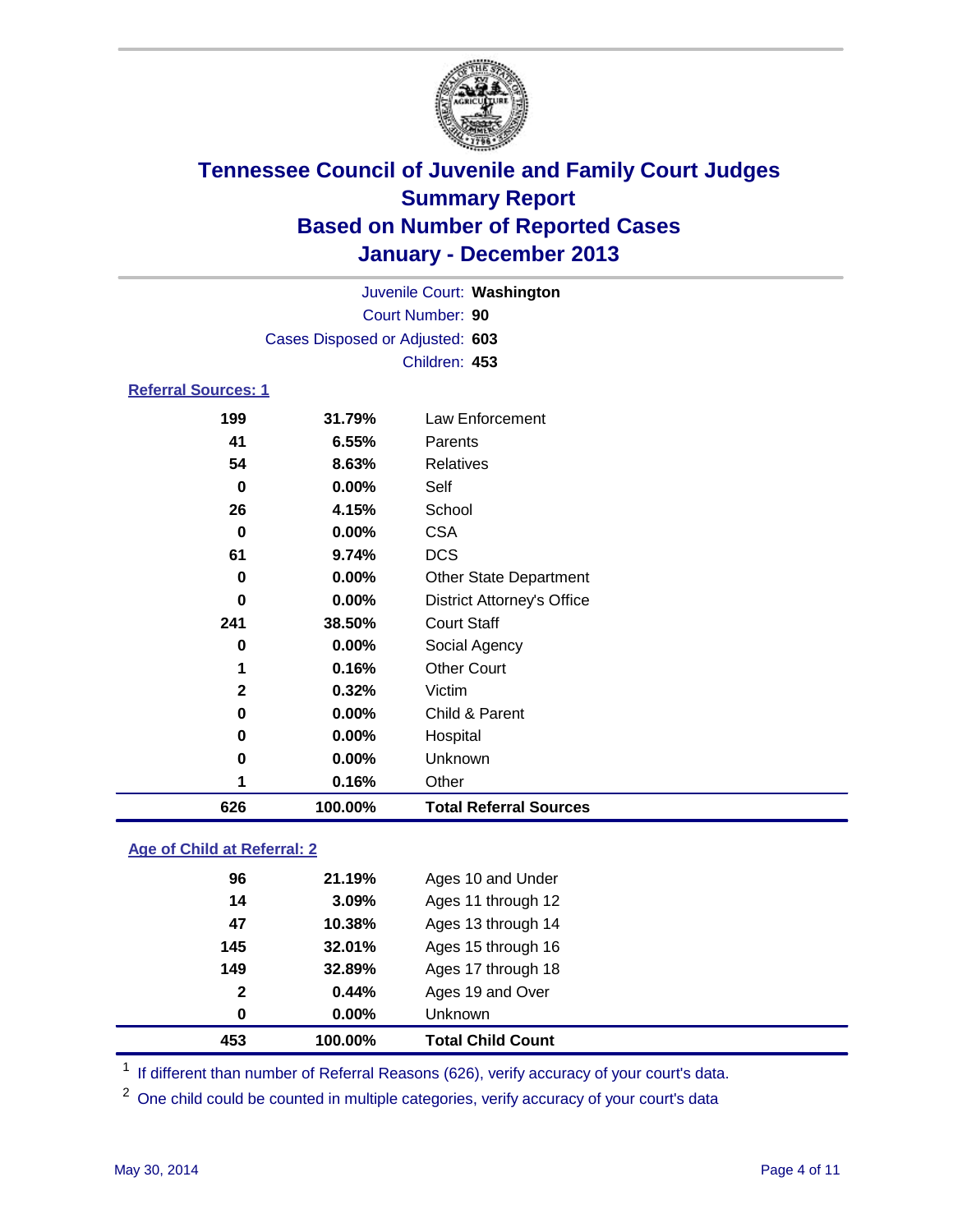

Court Number: **90** Juvenile Court: **Washington** Cases Disposed or Adjusted: **603** Children: **453 Referral Sources: 1**

### **31.79%** Law Enforcement **6.55%** Parents **8.63%** Relatives **0.00%** Self **4.15%** School **0.00%** CSA **9.74%** DCS **0.00%** Other State Department **0.00%** District Attorney's Office **38.50%** Court Staff **0.00%** Social Agency **0.16%** Other Court **0.32%** Victim **0.00%** Child & Parent **0.00%** Hospital **0.00%** Unknown **0.16%** Other **100.00% Total Referral Sources**

### **Age of Child at Referral: 2**

| 0            | 0.00%  | <b>Unknown</b>     |
|--------------|--------|--------------------|
| $\mathbf{2}$ | 0.44%  | Ages 19 and Over   |
| 149          | 32.89% | Ages 17 through 18 |
| 145          | 32.01% | Ages 15 through 16 |
| 47           | 10.38% | Ages 13 through 14 |
| 14           | 3.09%  | Ages 11 through 12 |
| 96           | 21.19% | Ages 10 and Under  |
|              |        |                    |

<sup>1</sup> If different than number of Referral Reasons (626), verify accuracy of your court's data.

<sup>2</sup> One child could be counted in multiple categories, verify accuracy of your court's data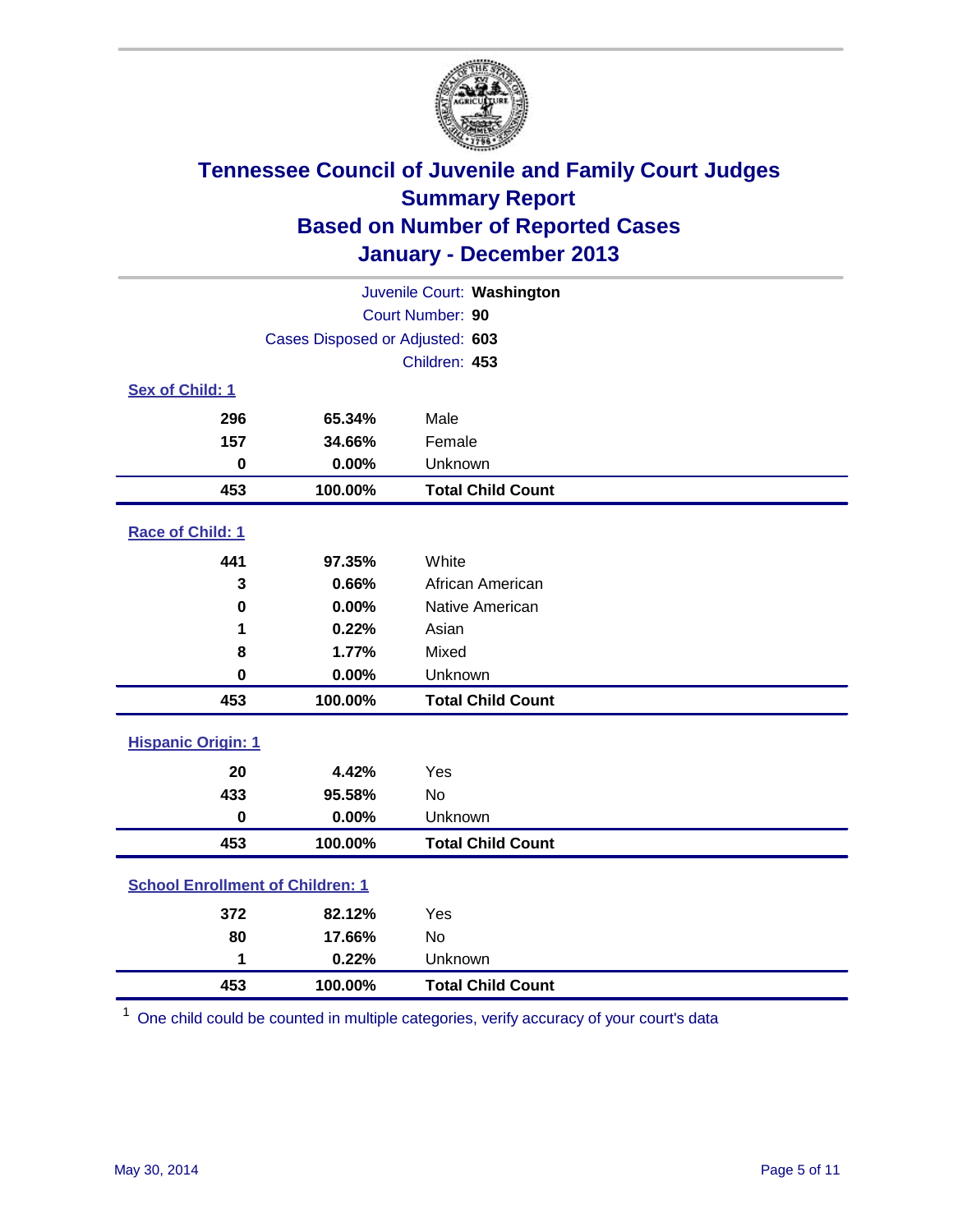

| Juvenile Court: Washington              |                                 |                          |  |  |
|-----------------------------------------|---------------------------------|--------------------------|--|--|
| Court Number: 90                        |                                 |                          |  |  |
|                                         | Cases Disposed or Adjusted: 603 |                          |  |  |
|                                         |                                 | Children: 453            |  |  |
| Sex of Child: 1                         |                                 |                          |  |  |
| 296                                     | 65.34%                          | Male                     |  |  |
| 157                                     | 34.66%                          | Female                   |  |  |
| $\bf{0}$                                | 0.00%                           | Unknown                  |  |  |
| 453                                     | 100.00%                         | <b>Total Child Count</b> |  |  |
| Race of Child: 1                        |                                 |                          |  |  |
| 441                                     | 97.35%                          | White                    |  |  |
| 3                                       | 0.66%                           | African American         |  |  |
| 0                                       | 0.00%                           | Native American          |  |  |
| 1                                       | 0.22%                           | Asian                    |  |  |
| 8                                       | 1.77%                           | Mixed                    |  |  |
| $\mathbf 0$                             | 0.00%                           | Unknown                  |  |  |
| 453                                     | 100.00%                         | <b>Total Child Count</b> |  |  |
| <b>Hispanic Origin: 1</b>               |                                 |                          |  |  |
| 20                                      | 4.42%                           | Yes                      |  |  |
| 433                                     | 95.58%                          | No                       |  |  |
| $\mathbf 0$                             | 0.00%                           | Unknown                  |  |  |
| 453                                     | 100.00%                         | <b>Total Child Count</b> |  |  |
| <b>School Enrollment of Children: 1</b> |                                 |                          |  |  |
| 372                                     | 82.12%                          | Yes                      |  |  |
| 80                                      | 17.66%                          | <b>No</b>                |  |  |
| 1                                       | 0.22%                           | Unknown                  |  |  |
| 453                                     | 100.00%                         | <b>Total Child Count</b> |  |  |

One child could be counted in multiple categories, verify accuracy of your court's data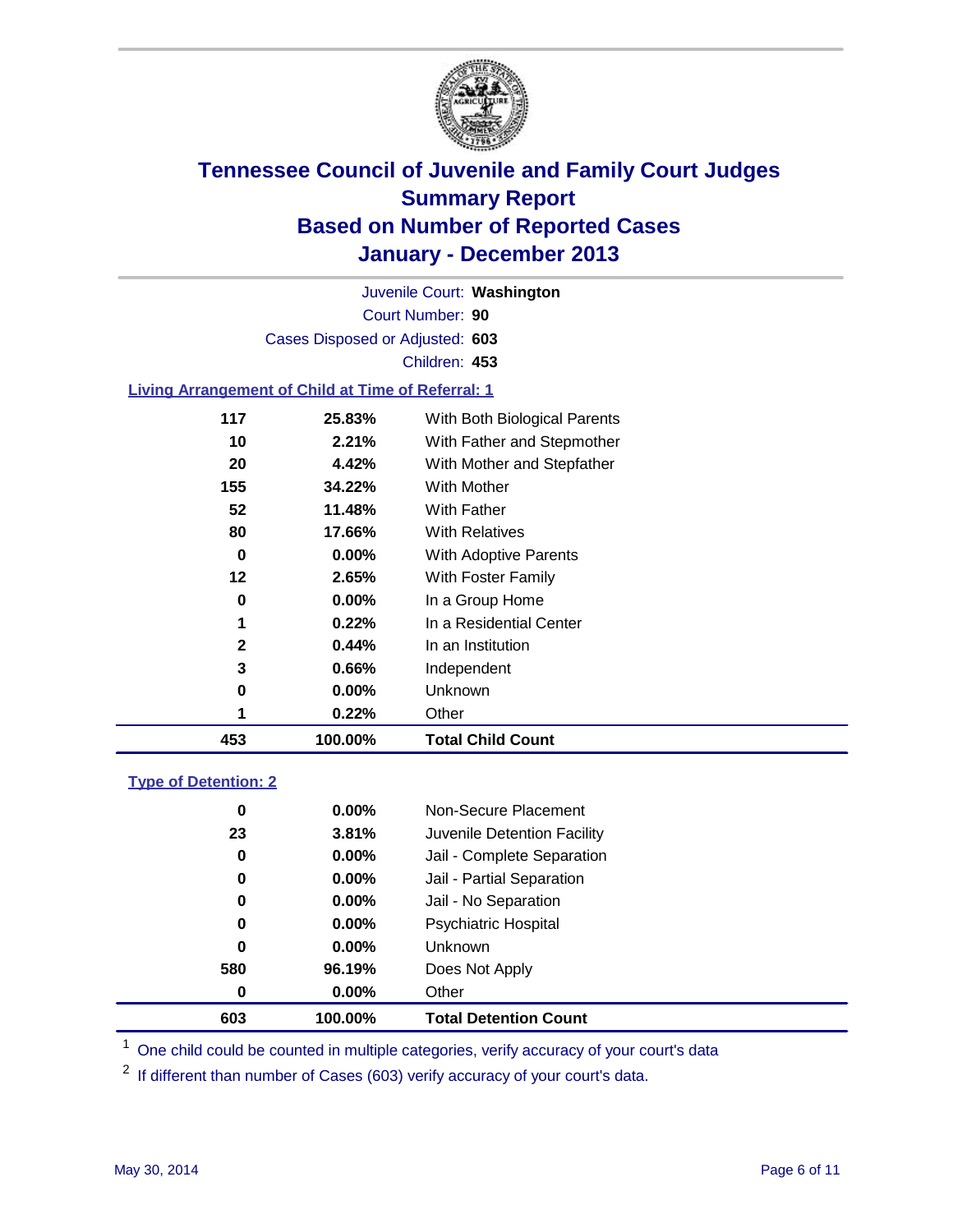

Court Number: **90** Juvenile Court: **Washington** Cases Disposed or Adjusted: **603** Children: **453**

### **Living Arrangement of Child at Time of Referral: 1**

| 453          | 100.00%  | <b>Total Child Count</b>     |
|--------------|----------|------------------------------|
|              | 0.22%    | Other                        |
| 0            | $0.00\%$ | Unknown                      |
| 3            | 0.66%    | Independent                  |
| $\mathbf{2}$ | 0.44%    | In an Institution            |
| 1            | 0.22%    | In a Residential Center      |
| 0            | $0.00\%$ | In a Group Home              |
| 12           | 2.65%    | With Foster Family           |
| 0            | 0.00%    | <b>With Adoptive Parents</b> |
| 80           | 17.66%   | <b>With Relatives</b>        |
| 52           | 11.48%   | With Father                  |
| 155          | 34.22%   | With Mother                  |
| 20           | 4.42%    | With Mother and Stepfather   |
| 10           | 2.21%    | With Father and Stepmother   |
| 117          | 25.83%   | With Both Biological Parents |
|              |          |                              |

### **Type of Detention: 2**

| 603 | 100.00%  | <b>Total Detention Count</b> |
|-----|----------|------------------------------|
| 0   | 0.00%    | Other                        |
| 580 | 96.19%   | Does Not Apply               |
| 0   | 0.00%    | <b>Unknown</b>               |
| 0   | $0.00\%$ | <b>Psychiatric Hospital</b>  |
| 0   | 0.00%    | Jail - No Separation         |
| 0   | $0.00\%$ | Jail - Partial Separation    |
| 0   | 0.00%    | Jail - Complete Separation   |
| 23  | 3.81%    | Juvenile Detention Facility  |
| 0   | $0.00\%$ | Non-Secure Placement         |
|     |          |                              |

<sup>1</sup> One child could be counted in multiple categories, verify accuracy of your court's data

<sup>2</sup> If different than number of Cases (603) verify accuracy of your court's data.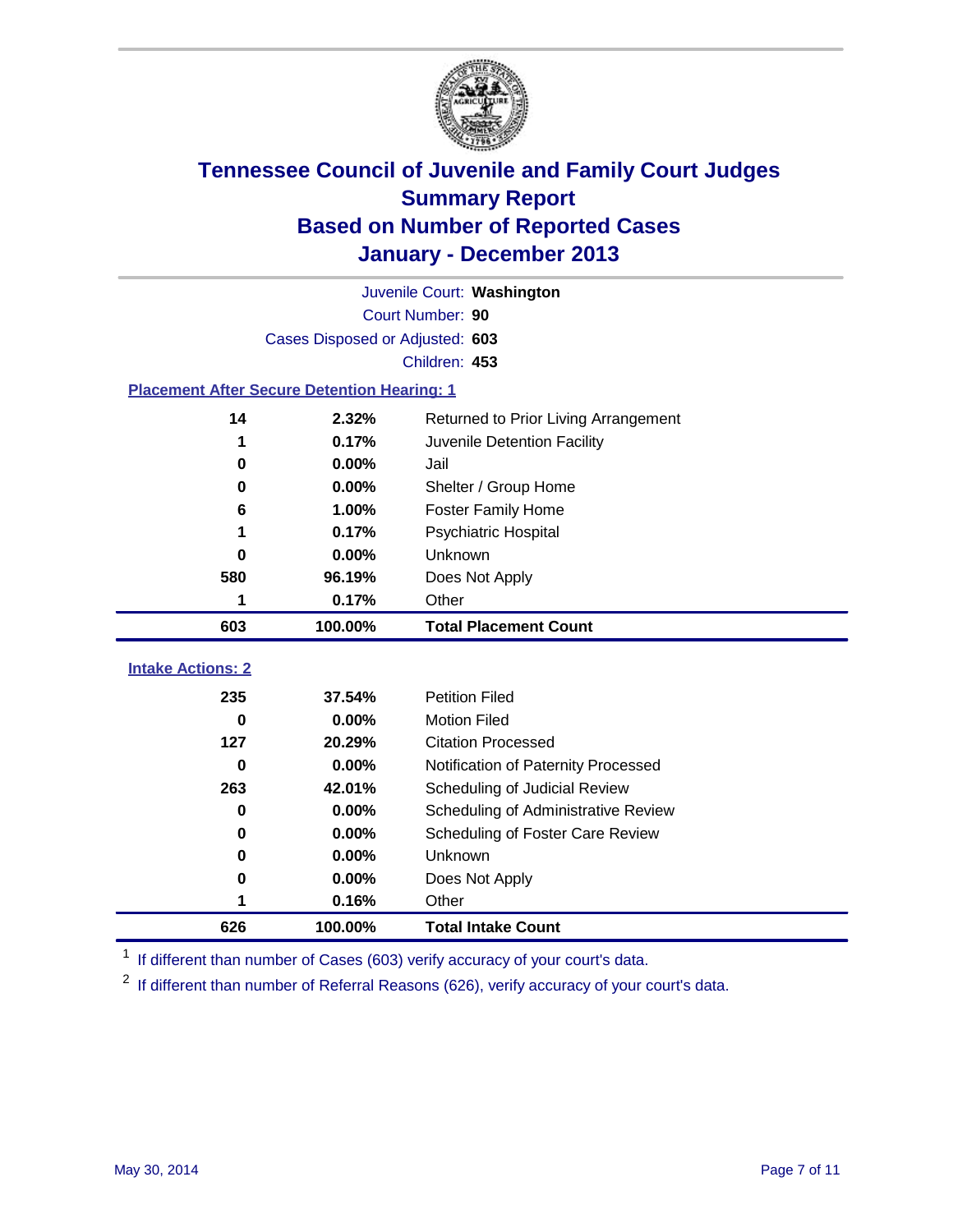

|                                                    | Juvenile Court: Washington      |                                      |  |  |  |  |
|----------------------------------------------------|---------------------------------|--------------------------------------|--|--|--|--|
|                                                    | Court Number: 90                |                                      |  |  |  |  |
|                                                    | Cases Disposed or Adjusted: 603 |                                      |  |  |  |  |
|                                                    | Children: 453                   |                                      |  |  |  |  |
| <b>Placement After Secure Detention Hearing: 1</b> |                                 |                                      |  |  |  |  |
| 14                                                 | 2.32%                           | Returned to Prior Living Arrangement |  |  |  |  |
| 1                                                  | 0.17%                           | Juvenile Detention Facility          |  |  |  |  |
| 0                                                  | 0.00%                           | Jail                                 |  |  |  |  |
| $\bf{0}$                                           | 0.00%                           | Shelter / Group Home                 |  |  |  |  |
| 6                                                  | 1.00%                           | <b>Foster Family Home</b>            |  |  |  |  |
| 1                                                  | 0.17%                           | <b>Psychiatric Hospital</b>          |  |  |  |  |
| 0                                                  | 0.00%                           | Unknown                              |  |  |  |  |
| 580                                                | 96.19%                          | Does Not Apply                       |  |  |  |  |
| 1                                                  | 0.17%                           | Other                                |  |  |  |  |
| 603                                                | 100.00%                         | <b>Total Placement Count</b>         |  |  |  |  |
| <b>Intake Actions: 2</b>                           |                                 |                                      |  |  |  |  |
|                                                    |                                 |                                      |  |  |  |  |
| 235                                                | 37.54%                          | <b>Petition Filed</b>                |  |  |  |  |
| $\bf{0}$                                           | 0.00%                           | <b>Motion Filed</b>                  |  |  |  |  |
| 127                                                | 20.29%                          | <b>Citation Processed</b>            |  |  |  |  |
| $\bf{0}$                                           | 0.00%                           | Notification of Paternity Processed  |  |  |  |  |
| 263                                                | 42.01%                          | Scheduling of Judicial Review        |  |  |  |  |
| $\bf{0}$                                           | 0.00%                           | Scheduling of Administrative Review  |  |  |  |  |
| 0                                                  | 0.00%                           | Scheduling of Foster Care Review     |  |  |  |  |
| 0                                                  | 0.00%                           | Unknown                              |  |  |  |  |
| 0                                                  | 0.00%                           | Does Not Apply                       |  |  |  |  |
| 1                                                  | 0.16%                           | Other                                |  |  |  |  |
| 626                                                | 100.00%                         | <b>Total Intake Count</b>            |  |  |  |  |

<sup>1</sup> If different than number of Cases (603) verify accuracy of your court's data.

<sup>2</sup> If different than number of Referral Reasons (626), verify accuracy of your court's data.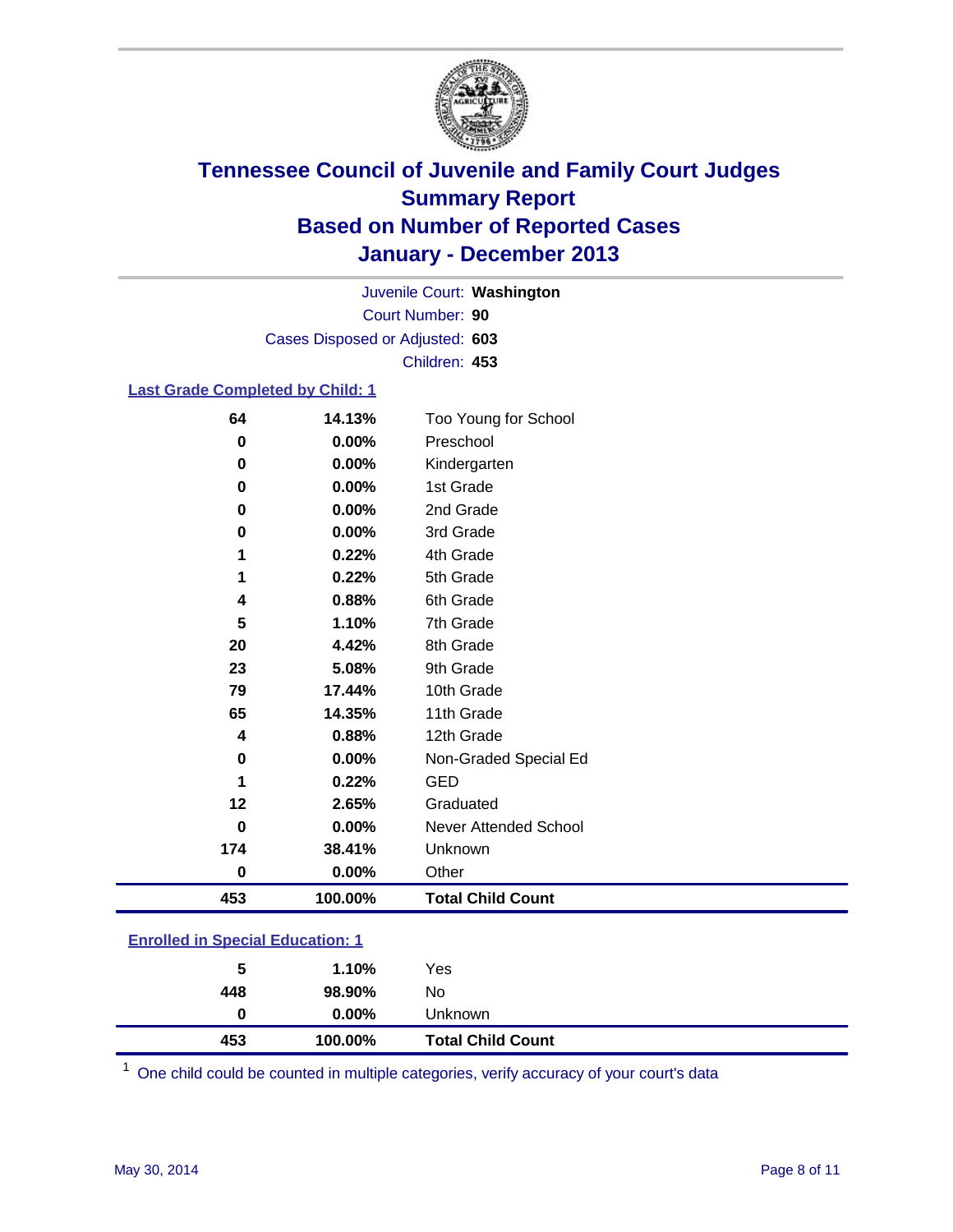

Court Number: **90** Juvenile Court: **Washington** Cases Disposed or Adjusted: **603** Children: **453**

### **Last Grade Completed by Child: 1**

| 64       | 14.13%  | Too Young for School     |
|----------|---------|--------------------------|
| $\bf{0}$ | 0.00%   | Preschool                |
| 0        | 0.00%   | Kindergarten             |
| 0        | 0.00%   | 1st Grade                |
| 0        | 0.00%   | 2nd Grade                |
| $\bf{0}$ | 0.00%   | 3rd Grade                |
| 1        | 0.22%   | 4th Grade                |
| 1        | 0.22%   | 5th Grade                |
| 4        | 0.88%   | 6th Grade                |
| 5        | 1.10%   | 7th Grade                |
| 20       | 4.42%   | 8th Grade                |
| 23       | 5.08%   | 9th Grade                |
| 79       | 17.44%  | 10th Grade               |
| 65       | 14.35%  | 11th Grade               |
| 4        | 0.88%   | 12th Grade               |
| 0        | 0.00%   | Non-Graded Special Ed    |
| 1        | 0.22%   | <b>GED</b>               |
| 12       | 2.65%   | Graduated                |
| $\bf{0}$ | 0.00%   | Never Attended School    |
| 174      | 38.41%  | Unknown                  |
| $\bf{0}$ | 0.00%   | Other                    |
| 453      | 100.00% | <b>Total Child Count</b> |

| <b>Enrolled in Special Education: 1</b> |
|-----------------------------------------|
|                                         |

| 453 | 100.00%  | <b>Total Child Count</b> |
|-----|----------|--------------------------|
| 0   | $0.00\%$ | <b>Unknown</b>           |
| 448 | 98.90%   | No                       |
| 5   | 1.10%    | Yes                      |
|     |          |                          |

One child could be counted in multiple categories, verify accuracy of your court's data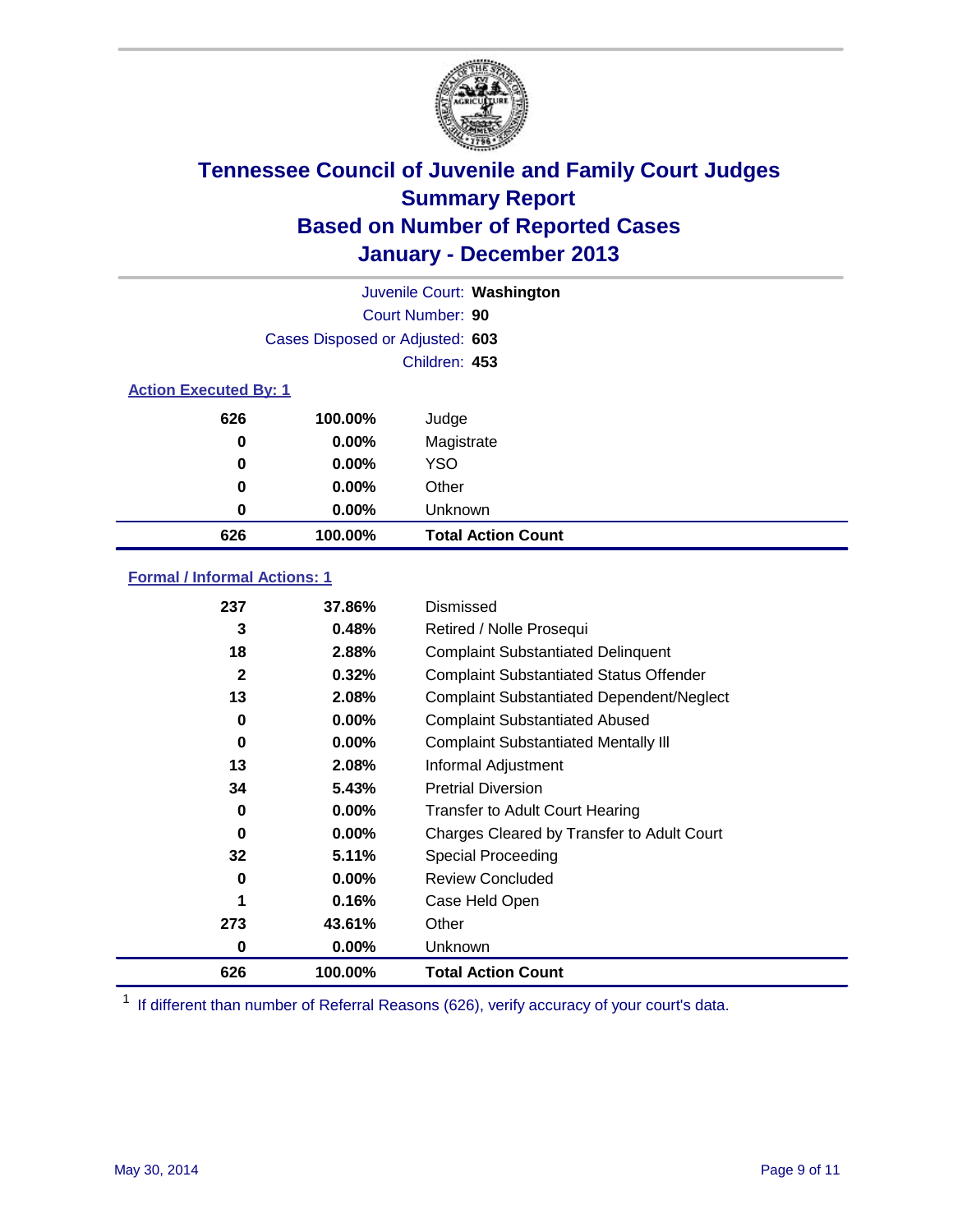

| Juvenile Court: Washington   |                                 |                           |  |  |
|------------------------------|---------------------------------|---------------------------|--|--|
|                              |                                 | Court Number: 90          |  |  |
|                              | Cases Disposed or Adjusted: 603 |                           |  |  |
|                              |                                 | Children: 453             |  |  |
| <b>Action Executed By: 1</b> |                                 |                           |  |  |
| 626                          | 100.00%                         | Judge                     |  |  |
| 0                            | $0.00\%$                        | Magistrate                |  |  |
| 0                            | $0.00\%$                        | <b>YSO</b>                |  |  |
| 0                            | $0.00\%$                        | Other                     |  |  |
| 0                            | $0.00\%$                        | Unknown                   |  |  |
| 626                          | 100.00%                         | <b>Total Action Count</b> |  |  |

### **Formal / Informal Actions: 1**

| 237 | 37.86%   | Dismissed                                        |
|-----|----------|--------------------------------------------------|
| 3   | 0.48%    | Retired / Nolle Prosequi                         |
| 18  | 2.88%    | <b>Complaint Substantiated Delinquent</b>        |
| 2   | 0.32%    | <b>Complaint Substantiated Status Offender</b>   |
| 13  | 2.08%    | <b>Complaint Substantiated Dependent/Neglect</b> |
| 0   | $0.00\%$ | <b>Complaint Substantiated Abused</b>            |
| 0   | $0.00\%$ | <b>Complaint Substantiated Mentally III</b>      |
| 13  | 2.08%    | Informal Adjustment                              |
| 34  | 5.43%    | <b>Pretrial Diversion</b>                        |
| 0   | 0.00%    | <b>Transfer to Adult Court Hearing</b>           |
| 0   | $0.00\%$ | Charges Cleared by Transfer to Adult Court       |
| 32  | 5.11%    | <b>Special Proceeding</b>                        |
| 0   | $0.00\%$ | <b>Review Concluded</b>                          |
| 1   | 0.16%    | Case Held Open                                   |
| 273 | 43.61%   | Other                                            |
| 0   | $0.00\%$ | <b>Unknown</b>                                   |
| 626 | 100.00%  | <b>Total Action Count</b>                        |

<sup>1</sup> If different than number of Referral Reasons (626), verify accuracy of your court's data.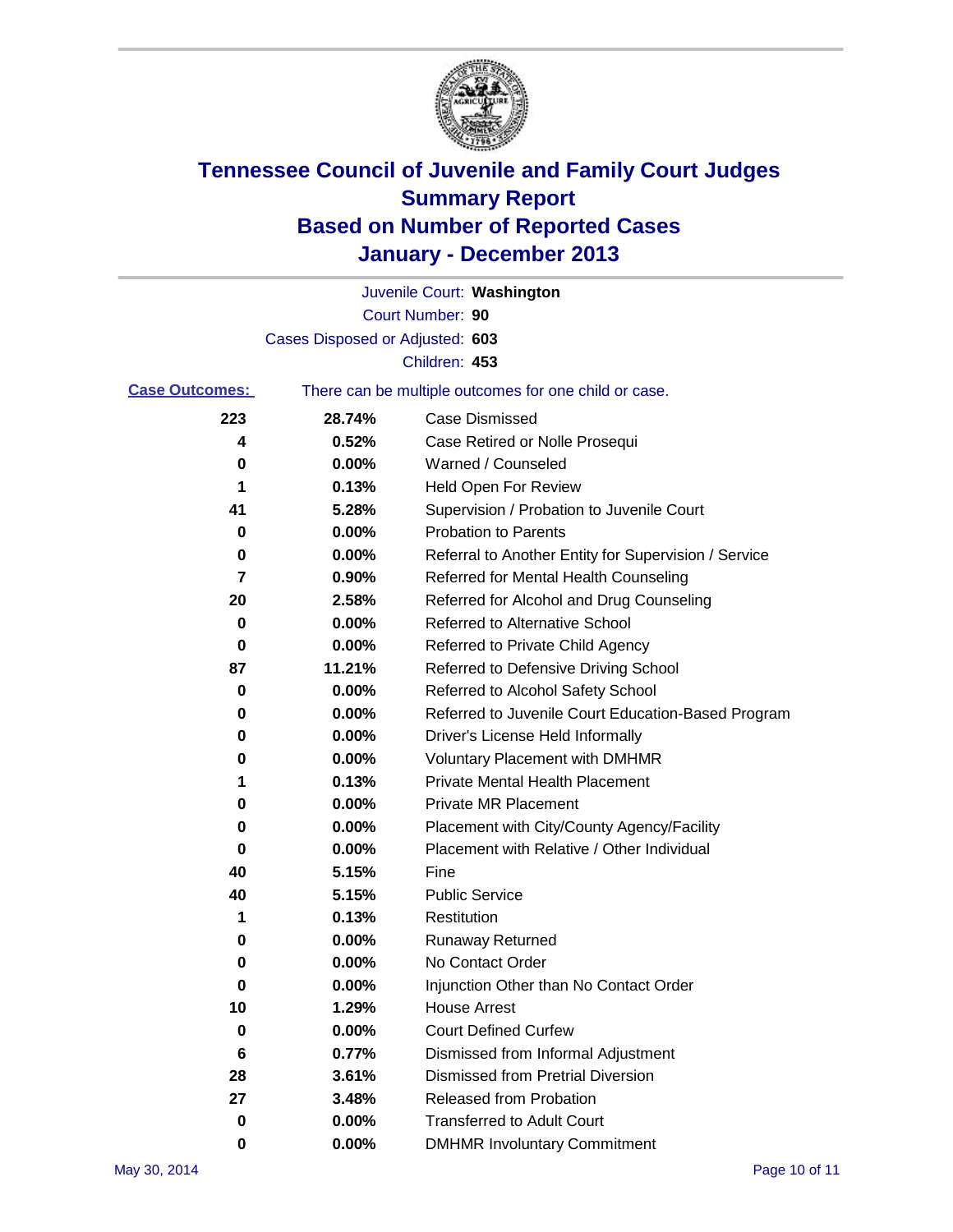

|                       |                                 | Juvenile Court: Washington                            |
|-----------------------|---------------------------------|-------------------------------------------------------|
|                       |                                 | Court Number: 90                                      |
|                       | Cases Disposed or Adjusted: 603 |                                                       |
|                       |                                 | Children: 453                                         |
| <b>Case Outcomes:</b> |                                 | There can be multiple outcomes for one child or case. |
| 223                   | 28.74%                          | Case Dismissed                                        |
| 4                     | 0.52%                           | Case Retired or Nolle Prosequi                        |
| 0                     | $0.00\%$                        | Warned / Counseled                                    |
| 1                     | 0.13%                           | Held Open For Review                                  |
| 41                    | 5.28%                           | Supervision / Probation to Juvenile Court             |
| 0                     | 0.00%                           | <b>Probation to Parents</b>                           |
| 0                     | 0.00%                           | Referral to Another Entity for Supervision / Service  |
| 7                     | 0.90%                           | Referred for Mental Health Counseling                 |
| 20                    | 2.58%                           | Referred for Alcohol and Drug Counseling              |
| 0                     | $0.00\%$                        | Referred to Alternative School                        |
| 0                     | 0.00%                           | Referred to Private Child Agency                      |
| 87                    | 11.21%                          | Referred to Defensive Driving School                  |
| 0                     | 0.00%                           | Referred to Alcohol Safety School                     |
| 0                     | 0.00%                           | Referred to Juvenile Court Education-Based Program    |
| 0                     | $0.00\%$                        | Driver's License Held Informally                      |
| 0                     | 0.00%                           | <b>Voluntary Placement with DMHMR</b>                 |
| 1                     | 0.13%                           | <b>Private Mental Health Placement</b>                |
| 0                     | 0.00%                           | <b>Private MR Placement</b>                           |
| 0                     | 0.00%                           | Placement with City/County Agency/Facility            |
| 0                     | 0.00%                           | Placement with Relative / Other Individual            |
| 40                    | 5.15%                           | Fine                                                  |
| 40                    | 5.15%                           | <b>Public Service</b>                                 |
| 1                     | 0.13%                           | Restitution                                           |
| 0                     | 0.00%                           | <b>Runaway Returned</b>                               |
| 0                     | 0.00%                           | No Contact Order                                      |
| U                     | 0.00%                           | Injunction Other than No Contact Order                |
| 10                    | 1.29%                           | <b>House Arrest</b>                                   |
| 0                     | 0.00%                           | <b>Court Defined Curfew</b>                           |
| 6                     | 0.77%                           | Dismissed from Informal Adjustment                    |
| 28                    | 3.61%                           | <b>Dismissed from Pretrial Diversion</b>              |
| 27                    | 3.48%                           | Released from Probation                               |
| 0                     | $0.00\%$                        | <b>Transferred to Adult Court</b>                     |
| 0                     | $0.00\%$                        | <b>DMHMR Involuntary Commitment</b>                   |